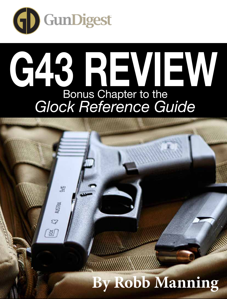

## **G43 REVIEW** Bonus Chapter to the *Glock Reference Guide*

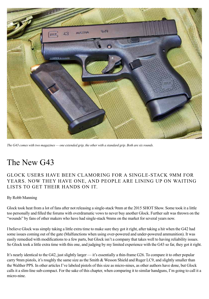![](_page_1_Picture_0.jpeg)

*The G43 comes with two magazines — one extended grip, the other with a standard grip. Both are six rounds.*

## The New G43

Glock users have been clamoring for a single-stack 9mm for years. Now they have one, and people are lining up on waiting lists to get their hands on it.

## By Robb Manning

Glock took heat from a lot of fans after not releasing a single-stack 9mm at the 2015 SHOT Show. Some took it a little too personally and filled the forums with overdramatic vows to never buy another Glock. Further salt was thrown on the "wounds" by fans of other makers who have had single-stack 9mms on the market for several years now.

I believe Glock was simply taking a little extra time to make sure they got it right, after taking a hit when the G42 had some issues coming out of the gate (Malfunctions when using over-powered and under-powered ammunition). It was easily remedied with modifications to a few parts, but Glock isn't a company that takes well to having reliability issues. So Glock took a little extra time with this one, and judging by my limited experience with the G43 so far, they got it right.

It's nearly identical to the G42, just slightly larger — it's essentially a thin-frame G26. To compare it to other popular carry 9mm pistols, it's roughly the same size as the Smith & Wesson Shield and Ruger LC9, and slightly smaller than the Walther PPS. In other articles I've labeled pistols of this size as micro-nines, as other authors have done, but Glock calls it a slim-line sub-compact. For the sake of this chapter, when comparing it to similar handguns, I'm going to call it a micro-nine.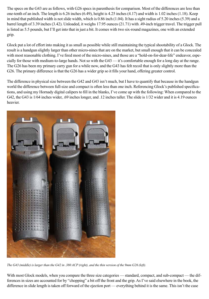The specs on the G43 are as follows, with G26 specs in parenthesis for comparison. Most of the differences are less than one-tenth of an inch. The length is 6.26 inches (6.49), height is 4.25 inches (4.17) and width is 1.02 inches (1.18). Keep in mind that published width is not slide width, which is 0.86 inch (1.04). It has a sight radius of 5.20 inches (5.39) and a barrel length of 3.39 inches (3.42). Unloaded, it weighs 17.95 ounces (21.71) with .49-inch trigger travel. The trigger pull is listed as 5.5 pounds, but I'll get into that in just a bit. It comes with two six-round magazines, one with an extended grip.

Glock put a lot of effort into making it as small as possible while still maintaining the typical shootability of a Glock. The result is a handgun slightly larger than other micro-nines that are on the market, but small enough that it can be concealed with most reasonable clothing. I've fired most of the micro-nines, and those are a "hold-on-for-dear-life" endeavor, especially for those with medium-to-large hands. Not so with the G43 — it's comfortable enough for a long day at the range. The G26 has been my primary carry gun for a while now, and the G43 has felt recoil that is only slightly more than the G26. The primary difference is that the G26 has a wider grip so it fills your hand, offering greater control.

The difference in physical size between the G42 and G43 isn't much, but I have to quantify that because in the handgun world the difference between full-size and compact is often less than one inch. Referencing Glock's published specifications, and using my Hornady digital calipers to fill in the blanks, I've come up with the following: When compared to the G42, the G43 is 1/64 inches wider, .69 inches longer, and .12 inches taller. The slide is 1/32 wider and it is 4.19 ounces heavier.

![](_page_2_Picture_3.jpeg)

*The G43 (middle) is larger than the G42 in .380 ACP (right), and the thin version of the 9mm G26 (left).*

With most Glock models, when you compare the three size categories — standard, compact, and sub-compact — the differences in sizes are accounted for by "chopping" a bit off the front and the grip. As I've said elsewhere in the book, the difference in slide length is taken off forward of the ejection port — everything behind it is the same. This isn't the case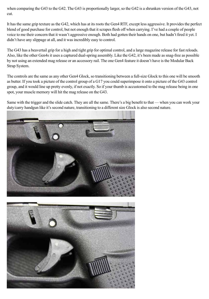when comparing the G43 to the G42. The G43 is proportionally larger, so the G42 is a shrunken version of the G43, not cut.

It has the same grip texture as the G42, which has at its roots the Gen4 RTF, except less aggressive. It provides the perfect blend of good purchase for control, but not enough that it scrapes flesh off when carrying. I've had a couple of people voice to me their concern that it wasn't aggressive enough. Both had gotten their hands on one, but hadn't fired it yet. I didn't have any slippage at all, and it was incredibly easy to control.

The G43 has a beavertail grip for a high and tight grip for optimal control, and a large magazine release for fast reloads. Also, like the other Gen4s it uses a captured dual-spring assembly. Like the G42, it's been made as snag-free as possible by not using an extended mag release or an accessory rail. The one Gen4 feature it doesn't have is the Modular Back Strap System.

The controls are the same as any other Gen4 Glock, so transitioning between a full-size Glock to this one will be smooth as butter. If you took a picture of the control group of a G17 you could superimpose it onto a picture of the G43 control group, and it would line up pretty evenly, if not exactly. So if your thumb is accustomed to the mag release being in one spot, your muscle memory will hit the mag release on the G43.

Same with the trigger and the slide catch. They are all the same. There's a big benefit to that — when you can work your duty/carry handgun like it's second nature, transitioning to a different size Glock is also second nature.

![](_page_3_Picture_5.jpeg)

![](_page_3_Picture_6.jpeg)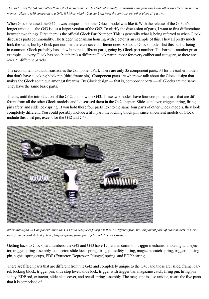*The controls of the G43 and other 9mm Glock models are nearly identical spatially, so transitioning from one to the other uses the same muscle memory. Here, a G19 compared to a G43. Which is which? You can't tell from the controls, but other clues give it away.*

When Glock released the G42, it was unique — no other Glock model was like it. With the release of the G43, it's no longer unique — the G43 is just a larger version of the G42. To clarify the discussion of parts, I want to first differentiate between two things. First, there is the official Glock Part Number. This is generally what is being referred to when Glock discusses parts commonality. The trigger mechanism housing with ejector is an example of this. They all pretty much look the same, but by Glock part number there are seven different ones. So not all Glock models list this part as being in common. Glock probably has a few hundred different parts, going by Glock part number. The barrel is another great example — every Glock has one, but there's a different Glock part number for every caliber and category, so there are over 21 different barrels.

The second item to that discussion is the Component Part. There are only 35 component parts; 34 for the earlier models that don't have a locking block pin (third frame pin). Component parts are where we talk about the Glock design that makes the Glock so unique amongst firearms. By Glock design — that is, component parts — all Glocks are the same. They have the same basic parts.

That is, until the introduction of the G42, and now the G43. These two models have four component parts that are different from all the other Glock models, and I discussed them in the G42 chapter: Slide stop lever, trigger spring, firing pin safety, and slide lock spring. If you hold these four parts next to the same four parts of other Glock models, they look completely different. You could possibly include a fifth part, the locking block pin, since all current models of Glock include this third pin, except for the G42 and G43.

![](_page_4_Picture_4.jpeg)

*When talking about Component Parts, the G43 (and G42) uses four parts that are different from the component parts of other models. (Clockwise, from the top) slide stop lever, trigger spring, firing pin safety, and slide lock spring.*

Getting back to Glock part numbers, the G42 and G43 have 12 parts in common: trigger mechanism housing with ejector, trigger spring assembly, connector, slide lock spring, firing pin safety spring, magazine catch spring, trigger housing pin, sights, spring cups, EDP (Extractor, Depressor, Plunger) spring, and EDP bearing.

There are fifteen parts that are different from the G42 and completely unique to the G43, and those are: slide, frame, barrel, locking block, trigger pin, slide stop lever, slide lock, trigger with trigger bar, magazine catch, firing pin, firing pin safety, EDP rod, extractor, slide plate cover, and recoil spring assembly. The magazine is also unique, as are the five parts that it is comprised of.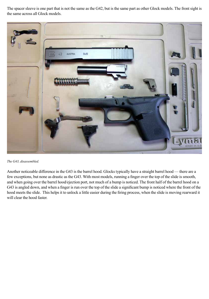The spacer sleeve is one part that is not the same as the G42, but is the same part as other Glock models. The front sight is the same across all Glock models.

![](_page_5_Picture_1.jpeg)

*The G43, disassembled.* 

Another noticeable difference in the G43 is the barrel hood. Glocks typically have a straight barrel hood — there are a few exceptions, but none as drastic as the G43. With most models, running a finger over the top of the slide is smooth, and when going over the barrel hood/ejection port, not much of a bump is noticed. The front half of the barrel hood on a G43 is angled down, and when a finger is run over the top of the slide a significant bump is noticed where the front of the hood meets the slide. This helps it to unlock a little easier during the firing process, when the slide is moving rearward it will clear the hood faster.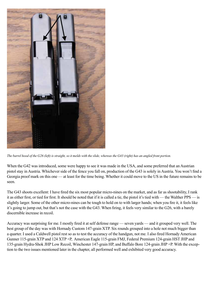![](_page_6_Picture_0.jpeg)

*The barrel hood of the G26 (left) is straight, so it melds with the slide, whereas the G43 (right) has an angled front portion.*

When the G42 was introduced, some were happy to see it was made in the USA, and some preferred that an Austrian pistol stay in Austria. Whichever side of the fence you fall on, production of the G43 is solely in Austria. You won't find a Georgia proof mark on this one — at least for the time being. Whether it could move to the US in the future remains to be seen.

The G43 shoots excellent: I have fired the six most popular micro-nines on the market, and as far as shootability, I rank it as either first, or tied for first. It should be noted that if it is called a tie, the pistol it's tied with — the Walther PPS — is slightly larger. Some of the other micro-nines can be tough to hold on to with larger hands; when you fire it, it feels like it's going to jump out, but that's not the case with the G43. When firing, it feels very similar to the G26, with a barely discernible increase in recoil.

Accuracy was surprising for me. I mostly fired it at self defense range — seven yards — and it grouped very well. The best group of the day was with Hornady Custom 147-grain XTP. Six rounds grouped into a hole not much bigger than a quarter. I used a Caldwell pistol rest so as to test the accuracy of the handgun, not me. I also fired Hornady American Gunner 115-grain XTP and 124 XTP +P, American Eagle 115-grain FMJ, Federal Premium 124-grain HST JHP and 135-grain Hydra-Shok JHP Low Recoil, Winchester 147-grain HP, and Buffalo Bore 124-grain JHP +P. With the exception to the two issues mentioned later in the chapter, all performed well and exhibited very good accuracy.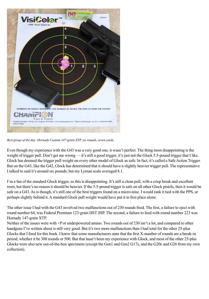![](_page_7_Figure_0.jpeg)

*Best group of the day: Hornady Custom 147-grain XTP, six rounds, seven yards.*

Even though my experience with the G43 was a very good one, it wasn't perfect. The thing most disappointing is the weight of trigger pull. Don't get me wrong — it's still a good trigger, it's just not the Glock 5.5-pound trigger that I like. Glock has deemed the trigger pull weight on every other model of Glock as safe. In fact, it's called a Safe Action Trigger. But on the G43, like the G42, Glock has determined that it should have a slightly heavier trigger pull. The representative I talked to said it's around six pounds, but my Lyman scale averaged 8.1.

I'm a fan of the standard Glock trigger, so this is disappointing. It's still a clean pull, with a crisp break and excellent reset, but there's no reason it should be heavier. If the 5.5-pound trigger is safe on all other Glock pistols, then it would be safe on a G43. As is though, it's still one of the best triggers found on a micro-nine. I would rank it tied with the PPS, or perhaps slightly behind it. A standard Glock pull weight would have put it in first place alone.

The other issue I had with the G43 involved two malfunctions out of 230 rounds fired. The first, a failure to eject with round number 64, was Federal Premium 123-grain HST JHP. The second, a failure to feed with round number 223 was Hornady 147-grain XTP.

Neither of the issues were with +P or underpowered ammo. Two rounds out of 230 isn't a lot, and compared to other handguns I've written about is still very good. But it's two more malfunctions than I had total for the other 25-plus Glocks that I fired for this book. I know that some manufacturers state that the first X-number of rounds are a break-in period, whether it be 300 rounds or 500. But that hasn't been my experience with Glock, and most of the other 25-plus Glocks were also new out-of-the-box specimens (except the Gen1 and Gen2 G17s, and the G20c and G26 from my own collection).